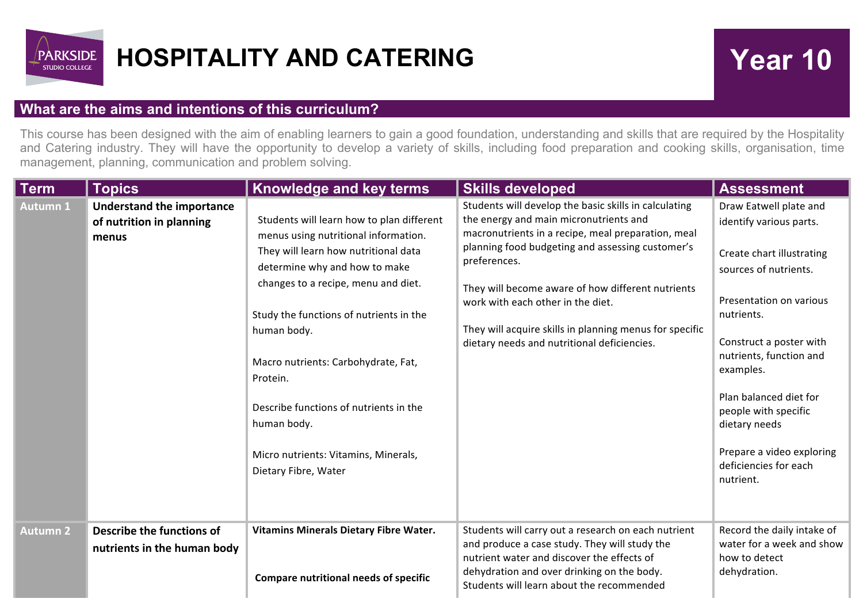

## **HOSPITALITY AND CATERING THE SERVICE RESPANDING TO THE Vear 10**

## **What are the aims and intentions of this curriculum?**

This course has been designed with the aim of enabling learners to gain a good foundation, understanding and skills that are required by the Hospitality and Catering industry. They will have the opportunity to develop a variety of skills, including food preparation and cooking skills, organisation, time management, planning, communication and problem solving.

| Term            | <b>Topics</b>                                                         | Knowledge and key terms                                                                                                                                                                                                                                                                                                                                                                                                                 | <b>Skills developed</b>                                                                                                                                                                                                                                                                                                                                                                                                       | <b>Assessment</b>                                                                                                                                                                                                                                                                                                                                         |
|-----------------|-----------------------------------------------------------------------|-----------------------------------------------------------------------------------------------------------------------------------------------------------------------------------------------------------------------------------------------------------------------------------------------------------------------------------------------------------------------------------------------------------------------------------------|-------------------------------------------------------------------------------------------------------------------------------------------------------------------------------------------------------------------------------------------------------------------------------------------------------------------------------------------------------------------------------------------------------------------------------|-----------------------------------------------------------------------------------------------------------------------------------------------------------------------------------------------------------------------------------------------------------------------------------------------------------------------------------------------------------|
| <b>Autumn 1</b> | <b>Understand the importance</b><br>of nutrition in planning<br>menus | Students will learn how to plan different<br>menus using nutritional information.<br>They will learn how nutritional data<br>determine why and how to make<br>changes to a recipe, menu and diet.<br>Study the functions of nutrients in the<br>human body.<br>Macro nutrients: Carbohydrate, Fat,<br>Protein.<br>Describe functions of nutrients in the<br>human body.<br>Micro nutrients: Vitamins, Minerals,<br>Dietary Fibre, Water | Students will develop the basic skills in calculating<br>the energy and main micronutrients and<br>macronutrients in a recipe, meal preparation, meal<br>planning food budgeting and assessing customer's<br>preferences.<br>They will become aware of how different nutrients<br>work with each other in the diet.<br>They will acquire skills in planning menus for specific<br>dietary needs and nutritional deficiencies. | Draw Eatwell plate and<br>identify various parts.<br>Create chart illustrating<br>sources of nutrients.<br>Presentation on various<br>nutrients.<br>Construct a poster with<br>nutrients, function and<br>examples.<br>Plan balanced diet for<br>people with specific<br>dietary needs<br>Prepare a video exploring<br>deficiencies for each<br>nutrient. |
| <b>Autumn 2</b> | Describe the functions of<br>nutrients in the human body              | Vitamins Minerals Dietary Fibre Water.<br><b>Compare nutritional needs of specific</b>                                                                                                                                                                                                                                                                                                                                                  | Students will carry out a research on each nutrient<br>and produce a case study. They will study the<br>nutrient water and discover the effects of<br>dehydration and over drinking on the body.<br>Students will learn about the recommended                                                                                                                                                                                 | Record the daily intake of<br>water for a week and show<br>how to detect<br>dehydration.                                                                                                                                                                                                                                                                  |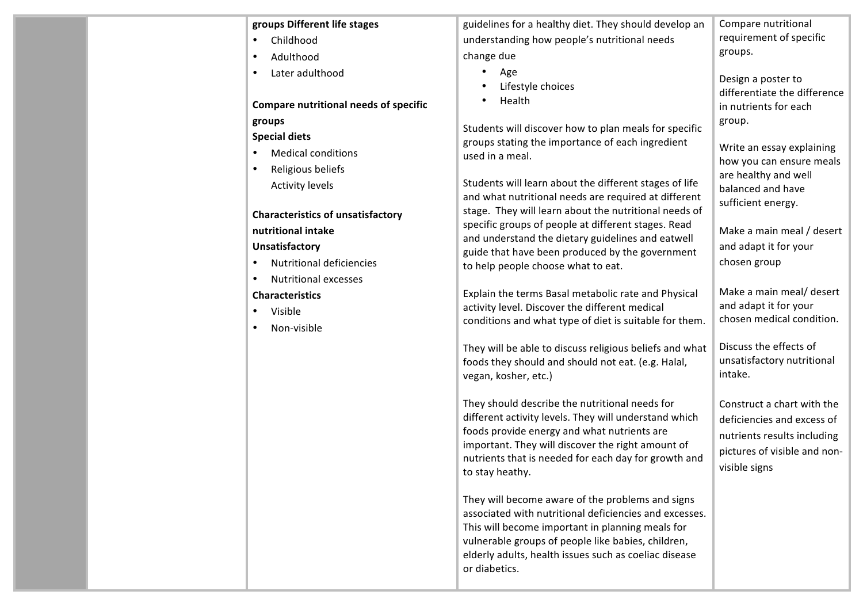| groups Different life stages                                         | guidelines for a healthy diet. They should develop an                                                                                                                                                                                                                                          | Compare nutritional                                                                                                                      |
|----------------------------------------------------------------------|------------------------------------------------------------------------------------------------------------------------------------------------------------------------------------------------------------------------------------------------------------------------------------------------|------------------------------------------------------------------------------------------------------------------------------------------|
| Childhood<br>$\bullet$                                               | understanding how people's nutritional needs                                                                                                                                                                                                                                                   | requirement of specific                                                                                                                  |
| Adulthood<br>٠                                                       | change due                                                                                                                                                                                                                                                                                     | groups.                                                                                                                                  |
| Later adulthood<br>٠<br><b>Compare nutritional needs of specific</b> | Age<br>Lifestyle choices<br>Health                                                                                                                                                                                                                                                             | Design a poster to<br>differentiate the difference<br>in nutrients for each                                                              |
| groups                                                               | Students will discover how to plan meals for specific                                                                                                                                                                                                                                          | group.                                                                                                                                   |
| <b>Special diets</b>                                                 | groups stating the importance of each ingredient                                                                                                                                                                                                                                               | Write an essay explaining                                                                                                                |
| <b>Medical conditions</b><br>$\bullet$                               | used in a meal.                                                                                                                                                                                                                                                                                | how you can ensure meals                                                                                                                 |
| Religious beliefs<br>٠                                               |                                                                                                                                                                                                                                                                                                | are healthy and well                                                                                                                     |
| <b>Activity levels</b>                                               | Students will learn about the different stages of life<br>and what nutritional needs are required at different<br>stage. They will learn about the nutritional needs of<br>specific groups of people at different stages. Read<br>and understand the dietary guidelines and eatwell            | balanced and have<br>sufficient energy.                                                                                                  |
| <b>Characteristics of unsatisfactory</b>                             |                                                                                                                                                                                                                                                                                                | Make a main meal / desert                                                                                                                |
| nutritional intake                                                   |                                                                                                                                                                                                                                                                                                |                                                                                                                                          |
| <b>Unsatisfactory</b>                                                | guide that have been produced by the government                                                                                                                                                                                                                                                | and adapt it for your                                                                                                                    |
| <b>Nutritional deficiencies</b><br>$\bullet$                         | to help people choose what to eat.                                                                                                                                                                                                                                                             | chosen group                                                                                                                             |
| <b>Nutritional excesses</b><br>٠                                     |                                                                                                                                                                                                                                                                                                |                                                                                                                                          |
| <b>Characteristics</b>                                               | Explain the terms Basal metabolic rate and Physical                                                                                                                                                                                                                                            | Make a main meal/ desert<br>and adapt it for your                                                                                        |
| Visible<br>$\bullet$                                                 | activity level. Discover the different medical<br>conditions and what type of diet is suitable for them.                                                                                                                                                                                       | chosen medical condition.                                                                                                                |
| Non-visible                                                          |                                                                                                                                                                                                                                                                                                |                                                                                                                                          |
|                                                                      | They will be able to discuss religious beliefs and what<br>foods they should and should not eat. (e.g. Halal,<br>vegan, kosher, etc.)                                                                                                                                                          | Discuss the effects of<br>unsatisfactory nutritional<br>intake.                                                                          |
|                                                                      | They should describe the nutritional needs for<br>different activity levels. They will understand which<br>foods provide energy and what nutrients are<br>important. They will discover the right amount of<br>nutrients that is needed for each day for growth and<br>to stay heathy.         | Construct a chart with the<br>deficiencies and excess of<br>nutrients results including<br>pictures of visible and non-<br>visible signs |
|                                                                      | They will become aware of the problems and signs<br>associated with nutritional deficiencies and excesses.<br>This will become important in planning meals for<br>vulnerable groups of people like babies, children,<br>elderly adults, health issues such as coeliac disease<br>or diabetics. |                                                                                                                                          |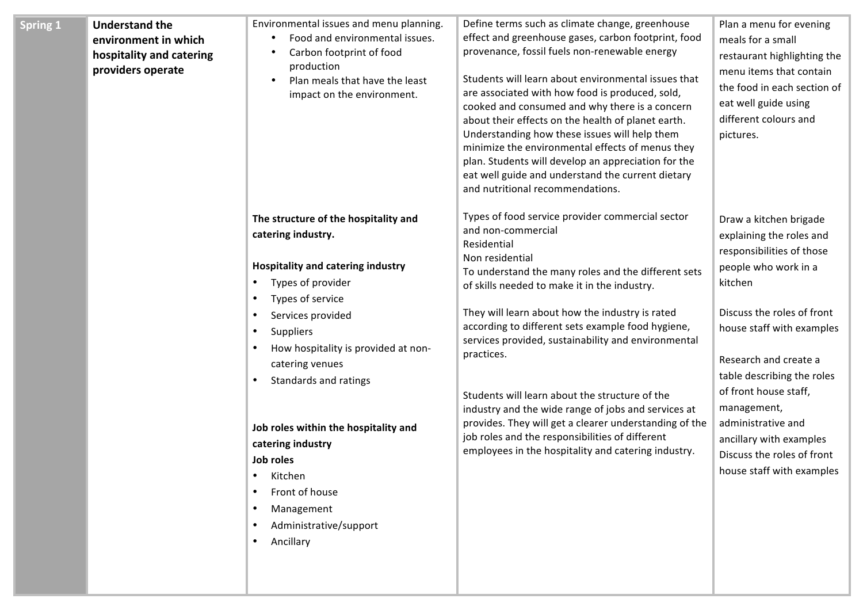| <b>Spring 1</b> | <b>Understand the</b><br>environment in which<br>hospitality and catering<br>providers operate | Environmental issues and menu planning.<br>Food and environmental issues.<br>Carbon footprint of food<br>production<br>Plan meals that have the least<br>$\bullet$<br>impact on the environment.                                                                                                                                                                                                                                                                                         | Define terms such as climate change, greenhouse<br>effect and greenhouse gases, carbon footprint, food<br>provenance, fossil fuels non-renewable energy<br>Students will learn about environmental issues that<br>are associated with how food is produced, sold,<br>cooked and consumed and why there is a concern<br>about their effects on the health of planet earth.<br>Understanding how these issues will help them<br>minimize the environmental effects of menus they<br>plan. Students will develop an appreciation for the<br>eat well guide and understand the current dietary<br>and nutritional recommendations.                                            | Plan a menu for evening<br>meals for a small<br>restaurant highlighting the<br>menu items that contain<br>the food in each section of<br>eat well guide using<br>different colours and<br>pictures.                                                                                                                                                                                      |
|-----------------|------------------------------------------------------------------------------------------------|------------------------------------------------------------------------------------------------------------------------------------------------------------------------------------------------------------------------------------------------------------------------------------------------------------------------------------------------------------------------------------------------------------------------------------------------------------------------------------------|---------------------------------------------------------------------------------------------------------------------------------------------------------------------------------------------------------------------------------------------------------------------------------------------------------------------------------------------------------------------------------------------------------------------------------------------------------------------------------------------------------------------------------------------------------------------------------------------------------------------------------------------------------------------------|------------------------------------------------------------------------------------------------------------------------------------------------------------------------------------------------------------------------------------------------------------------------------------------------------------------------------------------------------------------------------------------|
|                 |                                                                                                | The structure of the hospitality and<br>catering industry.<br><b>Hospitality and catering industry</b><br>Types of provider<br>٠<br>Types of service<br>٠<br>Services provided<br>$\bullet$<br><b>Suppliers</b><br>$\bullet$<br>How hospitality is provided at non-<br>catering venues<br>Standards and ratings<br>Job roles within the hospitality and<br>catering industry<br>Job roles<br>Kitchen<br>Front of house<br>$\bullet$<br>Management<br>Administrative/support<br>Ancillary | Types of food service provider commercial sector<br>and non-commercial<br>Residential<br>Non residential<br>To understand the many roles and the different sets<br>of skills needed to make it in the industry.<br>They will learn about how the industry is rated<br>according to different sets example food hygiene,<br>services provided, sustainability and environmental<br>practices.<br>Students will learn about the structure of the<br>industry and the wide range of jobs and services at<br>provides. They will get a clearer understanding of the<br>job roles and the responsibilities of different<br>employees in the hospitality and catering industry. | Draw a kitchen brigade<br>explaining the roles and<br>responsibilities of those<br>people who work in a<br>kitchen<br>Discuss the roles of front<br>house staff with examples<br>Research and create a<br>table describing the roles<br>of front house staff,<br>management,<br>administrative and<br>ancillary with examples<br>Discuss the roles of front<br>house staff with examples |
|                 |                                                                                                |                                                                                                                                                                                                                                                                                                                                                                                                                                                                                          |                                                                                                                                                                                                                                                                                                                                                                                                                                                                                                                                                                                                                                                                           |                                                                                                                                                                                                                                                                                                                                                                                          |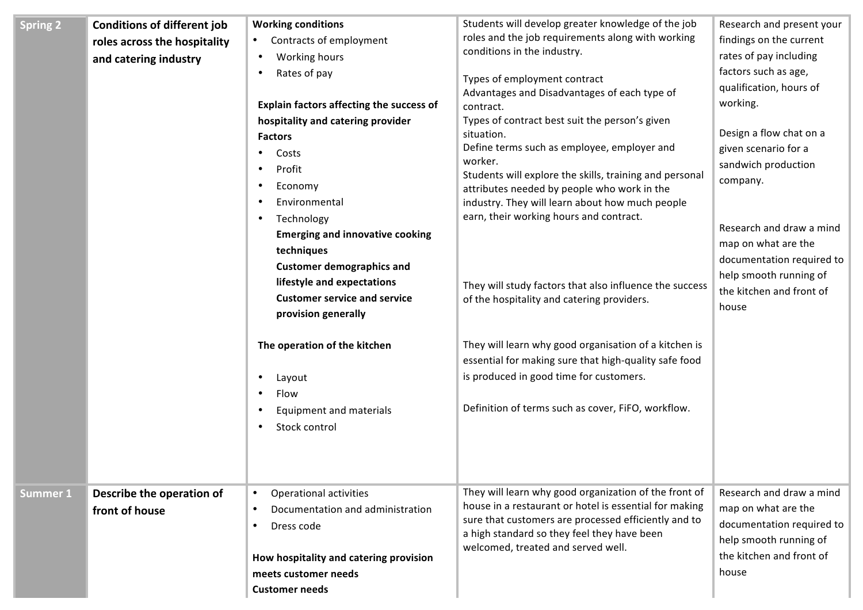| <b>Spring 2</b> | <b>Conditions of different job</b><br>roles across the hospitality<br>and catering industry | <b>Working conditions</b><br>Contracts of employment<br>Working hours<br>Rates of pay<br>Explain factors affecting the success of<br>hospitality and catering provider<br><b>Factors</b><br>Costs<br>Profit<br>Economy<br>Environmental<br>Technology<br><b>Emerging and innovative cooking</b><br>techniques<br><b>Customer demographics and</b><br>lifestyle and expectations<br><b>Customer service and service</b><br>provision generally<br>The operation of the kitchen<br>Layout<br>Flow<br>Equipment and materials<br>Stock control | Students will develop greater knowledge of the job<br>roles and the job requirements along with working<br>conditions in the industry.<br>Types of employment contract<br>Advantages and Disadvantages of each type of<br>contract.<br>Types of contract best suit the person's given<br>situation.<br>Define terms such as employee, employer and<br>worker.<br>Students will explore the skills, training and personal<br>attributes needed by people who work in the<br>industry. They will learn about how much people<br>earn, their working hours and contract.<br>They will study factors that also influence the success<br>of the hospitality and catering providers.<br>They will learn why good organisation of a kitchen is<br>essential for making sure that high-quality safe food<br>is produced in good time for customers.<br>Definition of terms such as cover, FiFO, workflow. | Research and present your<br>findings on the current<br>rates of pay including<br>factors such as age,<br>qualification, hours of<br>working.<br>Design a flow chat on a<br>given scenario for a<br>sandwich production<br>company.<br>Research and draw a mind<br>map on what are the<br>documentation required to<br>help smooth running of<br>the kitchen and front of<br>house |
|-----------------|---------------------------------------------------------------------------------------------|---------------------------------------------------------------------------------------------------------------------------------------------------------------------------------------------------------------------------------------------------------------------------------------------------------------------------------------------------------------------------------------------------------------------------------------------------------------------------------------------------------------------------------------------|---------------------------------------------------------------------------------------------------------------------------------------------------------------------------------------------------------------------------------------------------------------------------------------------------------------------------------------------------------------------------------------------------------------------------------------------------------------------------------------------------------------------------------------------------------------------------------------------------------------------------------------------------------------------------------------------------------------------------------------------------------------------------------------------------------------------------------------------------------------------------------------------------|------------------------------------------------------------------------------------------------------------------------------------------------------------------------------------------------------------------------------------------------------------------------------------------------------------------------------------------------------------------------------------|
| <b>Summer 1</b> | Describe the operation of<br>front of house                                                 | <b>Operational activities</b><br>$\bullet$<br>Documentation and administration<br>$\bullet$<br>Dress code<br>$\bullet$<br>How hospitality and catering provision<br>meets customer needs<br><b>Customer needs</b>                                                                                                                                                                                                                                                                                                                           | They will learn why good organization of the front of<br>house in a restaurant or hotel is essential for making<br>sure that customers are processed efficiently and to<br>a high standard so they feel they have been<br>welcomed, treated and served well.                                                                                                                                                                                                                                                                                                                                                                                                                                                                                                                                                                                                                                      | Research and draw a mind<br>map on what are the<br>documentation required to<br>help smooth running of<br>the kitchen and front of<br>house                                                                                                                                                                                                                                        |